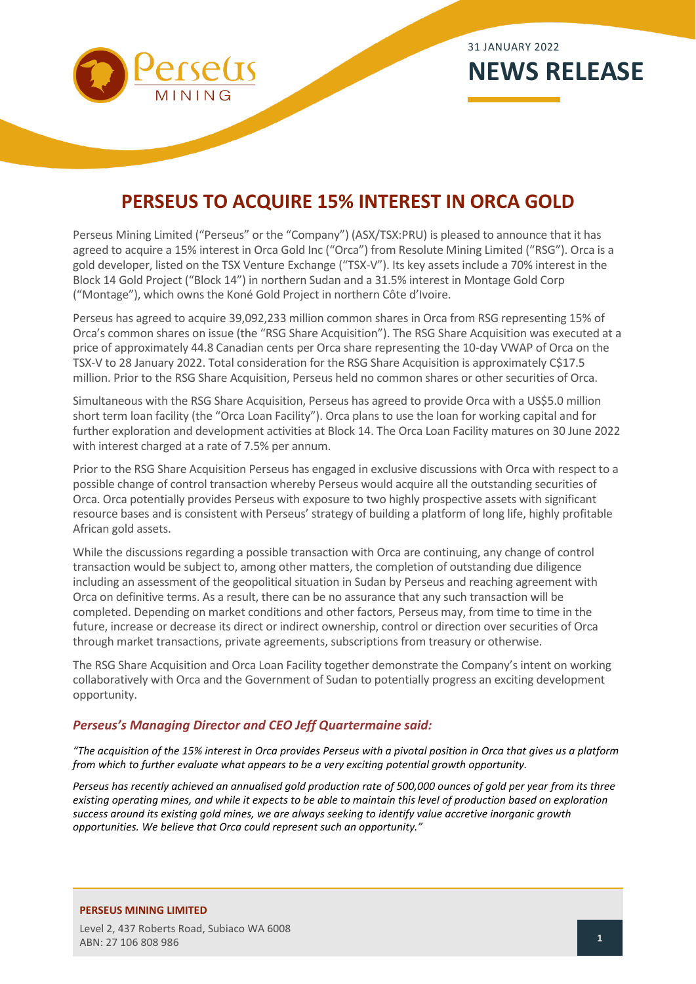

# **PERSEUS TO ACQUIRE 15% INTEREST IN ORCA GOLD**

Perseus Mining Limited ("Perseus" or the "Company") (ASX/TSX:PRU) is pleased to announce that it has agreed to acquire a 15% interest in Orca Gold Inc ("Orca") from Resolute Mining Limited ("RSG"). Orca is a gold developer, listed on the TSX Venture Exchange ("TSX-V"). Its key assets include a 70% interest in the Block 14 Gold Project ("Block 14") in northern Sudan and a 31.5% interest in Montage Gold Corp ("Montage"), which owns the Koné Gold Project in northern Côte d'Ivoire.

Perseus has agreed to acquire 39,092,233 million common shares in Orca from RSG representing 15% of Orca's common shares on issue (the "RSG Share Acquisition"). The RSG Share Acquisition was executed at a price of approximately 44.8 Canadian cents per Orca share representing the 10-day VWAP of Orca on the TSX-V to 28 January 2022. Total consideration for the RSG Share Acquisition is approximately C\$17.5 million. Prior to the RSG Share Acquisition, Perseus held no common shares or other securities of Orca.

Simultaneous with the RSG Share Acquisition, Perseus has agreed to provide Orca with a US\$5.0 million short term loan facility (the "Orca Loan Facility"). Orca plans to use the loan for working capital and for further exploration and development activities at Block 14. The Orca Loan Facility matures on 30 June 2022 with interest charged at a rate of 7.5% per annum.

Prior to the RSG Share Acquisition Perseus has engaged in exclusive discussions with Orca with respect to a possible change of control transaction whereby Perseus would acquire all the outstanding securities of Orca. Orca potentially provides Perseus with exposure to two highly prospective assets with significant resource bases and is consistent with Perseus' strategy of building a platform of long life, highly profitable African gold assets.

While the discussions regarding a possible transaction with Orca are continuing, any change of control transaction would be subject to, among other matters, the completion of outstanding due diligence including an assessment of the geopolitical situation in Sudan by Perseus and reaching agreement with Orca on definitive terms. As a result, there can be no assurance that any such transaction will be completed. Depending on market conditions and other factors, Perseus may, from time to time in the future, increase or decrease its direct or indirect ownership, control or direction over securities of Orca through market transactions, private agreements, subscriptions from treasury or otherwise.

The RSG Share Acquisition and Orca Loan Facility together demonstrate the Company's intent on working collaboratively with Orca and the Government of Sudan to potentially progress an exciting development opportunity.

## *Perseus's Managing Director and CEO Jeff Quartermaine said:*

*"The acquisition of the 15% interest in Orca provides Perseus with a pivotal position in Orca that gives us a platform from which to further evaluate what appears to be a very exciting potential growth opportunity.* 

*Perseus has recently achieved an annualised gold production rate of 500,000 ounces of gold per year from its three existing operating mines, and while it expects to be able to maintain this level of production based on exploration success around its existing gold mines, we are always seeking to identify value accretive inorganic growth opportunities. We believe that Orca could represent such an opportunity."*

## **PERSEUS MINING LIMITED**

Level 2, 437 Roberts Road, Subiaco WA 6008 ABN: 27 106 808 986 **<sup>1</sup>**